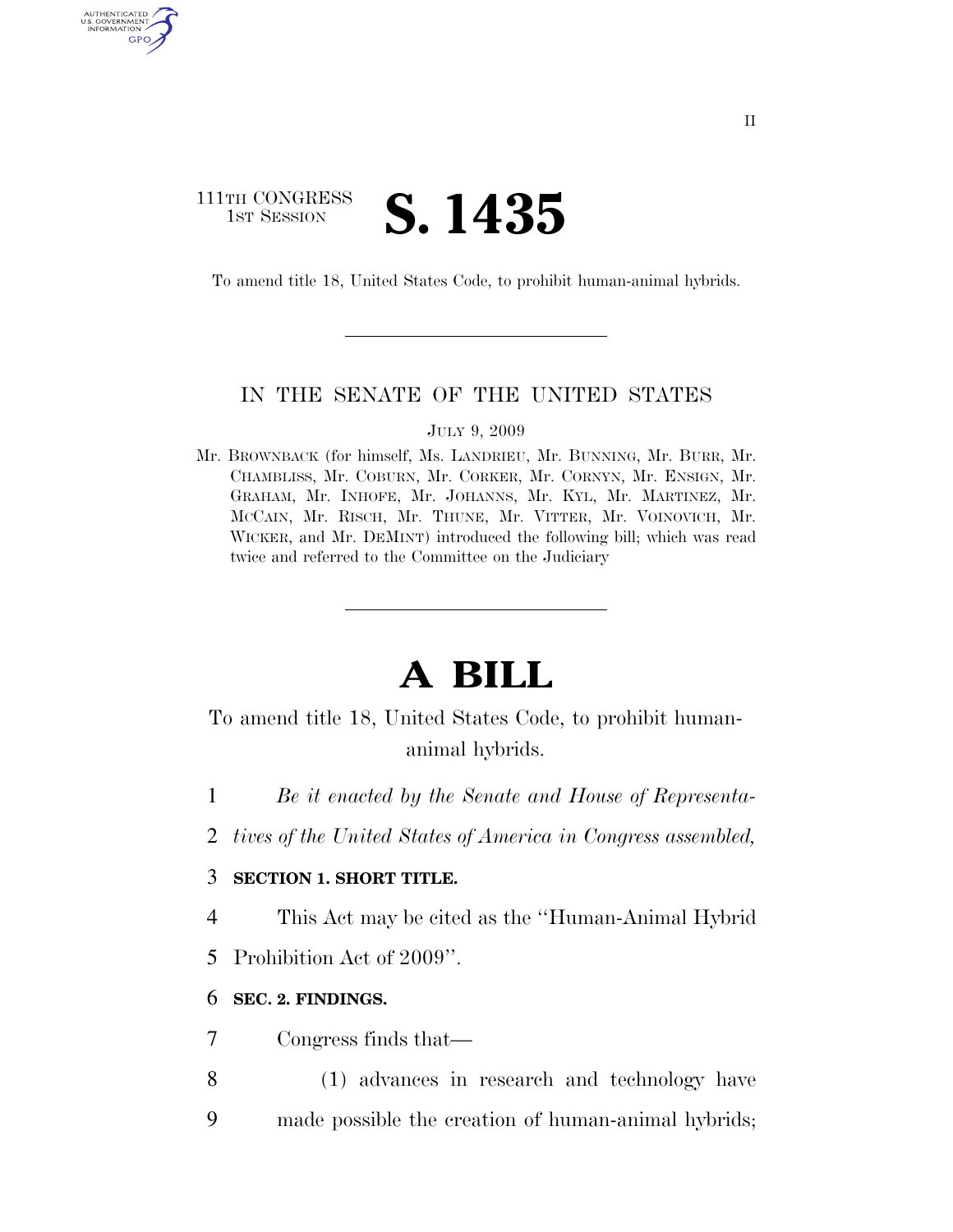## 111TH CONGRESS **IST SESSION S. 1435**

AUTHENTICATED U.S. GOVERNMENT GPO

To amend title 18, United States Code, to prohibit human-animal hybrids.

### IN THE SENATE OF THE UNITED STATES

#### JULY 9, 2009

Mr. BROWNBACK (for himself, Ms. LANDRIEU, Mr. BUNNING, Mr. BURR, Mr. CHAMBLISS, Mr. COBURN, Mr. CORKER, Mr. CORNYN, Mr. ENSIGN, Mr. GRAHAM, Mr. INHOFE, Mr. JOHANNS, Mr. KYL, Mr. MARTINEZ, Mr. MCCAIN, Mr. RISCH, Mr. THUNE, Mr. VITTER, Mr. VOINOVICH, Mr. WICKER, and Mr. DEMINT) introduced the following bill; which was read twice and referred to the Committee on the Judiciary

# **A BILL**

To amend title 18, United States Code, to prohibit humananimal hybrids.

- 1 *Be it enacted by the Senate and House of Representa-*
- 2 *tives of the United States of America in Congress assembled,*

### 3 **SECTION 1. SHORT TITLE.**

4 This Act may be cited as the ''Human-Animal Hybrid

5 Prohibition Act of 2009''.

### 6 **SEC. 2. FINDINGS.**

7 Congress finds that—

8 (1) advances in research and technology have 9 made possible the creation of human-animal hybrids;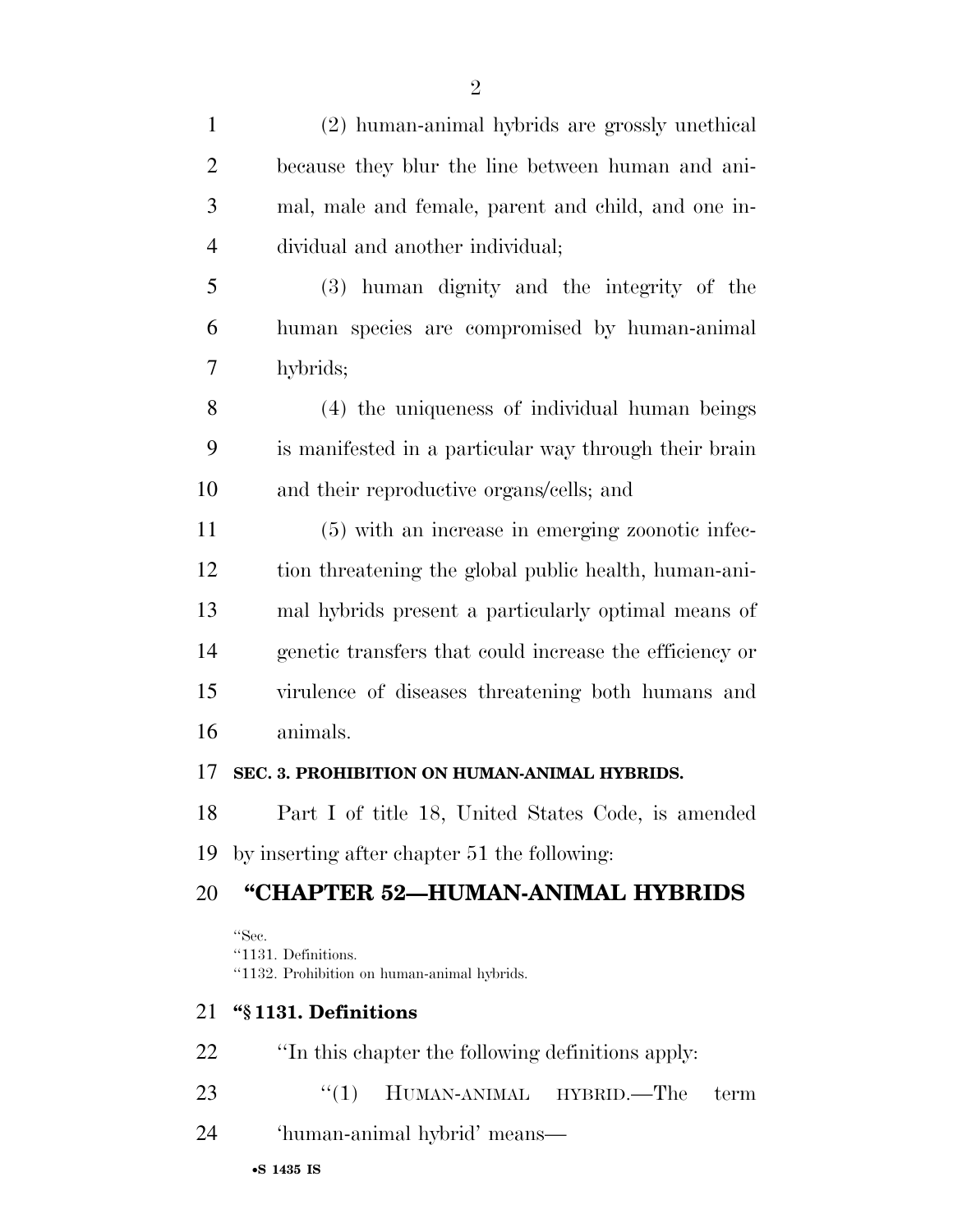| (2) human-animal hybrids are grossly unethical                              |
|-----------------------------------------------------------------------------|
| because they blur the line between human and ani-                           |
| mal, male and female, parent and child, and one in-                         |
| dividual and another individual;                                            |
| (3) human dignity and the integrity of the                                  |
| human species are compromised by human-animal                               |
| hybrids;                                                                    |
| (4) the uniqueness of individual human beings                               |
| is manifested in a particular way through their brain                       |
| and their reproductive organs/cells; and                                    |
| (5) with an increase in emerging zoonotic infec-                            |
| tion threatening the global public health, human-ani-                       |
| mal hybrids present a particularly optimal means of                         |
| genetic transfers that could increase the efficiency or                     |
| virulence of diseases threatening both humans and                           |
| animals.                                                                    |
| SEC. 3. PROHIBITION ON HUMAN-ANIMAL HYBRIDS.                                |
| Part I of title 18, United States Code, is amended                          |
| by inserting after chapter 51 the following:                                |
| "CHAPTER 52-HUMAN-ANIMAL HYBRIDS                                            |
| "Sec.<br>"1131. Definitions.<br>"1132. Prohibition on human-animal hybrids. |
| "§1131. Definitions                                                         |
| "In this chapter the following definitions apply:                           |
|                                                                             |

- 23 ''(1) HUMAN-ANIMAL HYBRID.—The term
- 'human-animal hybrid' means—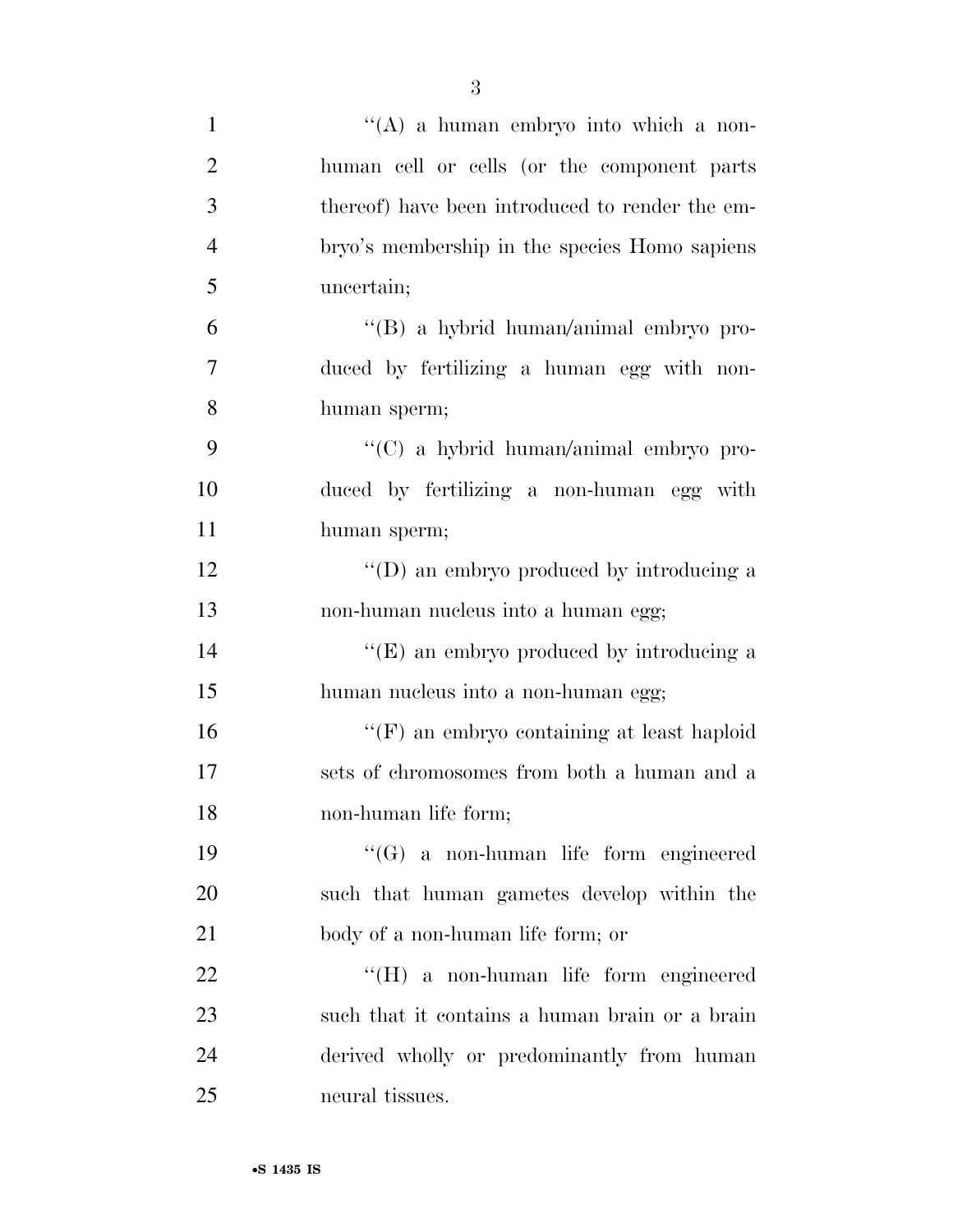| $\mathbf{1}$   | "(A) a human embryo into which a non-           |
|----------------|-------------------------------------------------|
| $\overline{2}$ | human cell or cells (or the component parts     |
| 3              | thereof) have been introduced to render the em- |
| $\overline{4}$ | bryo's membership in the species Homo sapiens   |
| 5              | uncertain;                                      |
| 6              | "(B) a hybrid human/animal embryo pro-          |
| 7              | duced by fertilizing a human egg with non-      |
| 8              | human sperm;                                    |
| 9              | "(C) a hybrid human/animal embryo pro-          |
| 10             | duced by fertilizing a non-human egg with       |
| 11             | human sperm;                                    |
| 12             | "(D) an embryo produced by introducing a        |
| 13             | non-human nucleus into a human egg;             |
| 14             | "(E) an embryo produced by introducing a        |
| 15             | human nucleus into a non-human egg;             |
| 16             | " $(F)$ an embryo containing at least haploid   |
| 17             | sets of chromosomes from both a human and a     |
| 18             | non-human life form;                            |
| 19             | $\lq\lq (G)$ a non-human life form engineered   |
| 20             | such that human gametes develop within the      |
| 21             | body of a non-human life form; or               |
| 22             | $\lq\lq (H)$ a non-human life form engineered   |
| 23             | such that it contains a human brain or a brain  |
| 24             | derived wholly or predominantly from human      |
| 25             | neural tissues.                                 |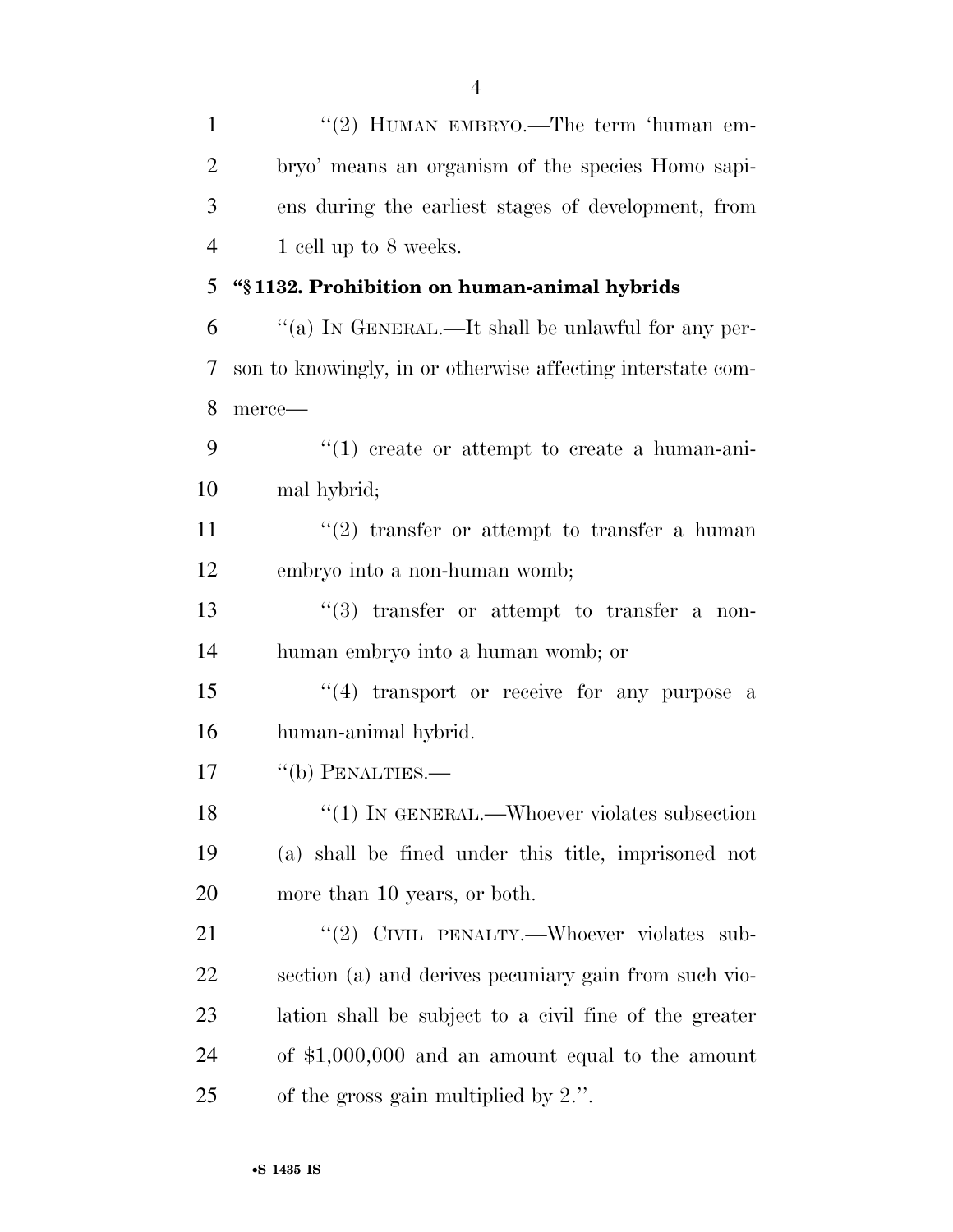| $\mathbf{1}$   | "(2) HUMAN EMBRYO.—The term 'human em-                      |
|----------------|-------------------------------------------------------------|
| $\overline{2}$ | bryo' means an organism of the species Homo sapi-           |
| 3              | ens during the earliest stages of development, from         |
| $\overline{4}$ | 1 cell up to 8 weeks.                                       |
| 5              | "§1132. Prohibition on human-animal hybrids                 |
| 6              | "(a) IN GENERAL.—It shall be unlawful for any per-          |
| 7              | son to knowingly, in or otherwise affecting interstate com- |
| 8              | merce-                                                      |
| 9              | $\lq(1)$ create or attempt to create a human-ani-           |
| 10             | mal hybrid;                                                 |
| 11             | $\lq(2)$ transfer or attempt to transfer a human            |
| 12             | embryo into a non-human womb;                               |
| 13             | $(3)$ transfer or attempt to transfer a non-                |
| 14             | human embryo into a human womb; or                          |
| 15             | "(4) transport or receive for any purpose a                 |
| 16             | human-animal hybrid.                                        |
| 17             | $``$ (b) PENALTIES.—                                        |
| 18             | $\lq(1)$ IN GENERAL.—Whoever violates subsection            |
| 19             | (a) shall be fined under this title, imprisoned not         |
| 20             | more than 10 years, or both.                                |
| 21             | "(2) CIVIL PENALTY.—Whoever violates sub-                   |
| 22             | section (a) and derives pecuniary gain from such vio-       |
| 23             | lation shall be subject to a civil fine of the greater      |
| 24             | of $$1,000,000$ and an amount equal to the amount           |
| 25             | of the gross gain multiplied by $2$ .".                     |